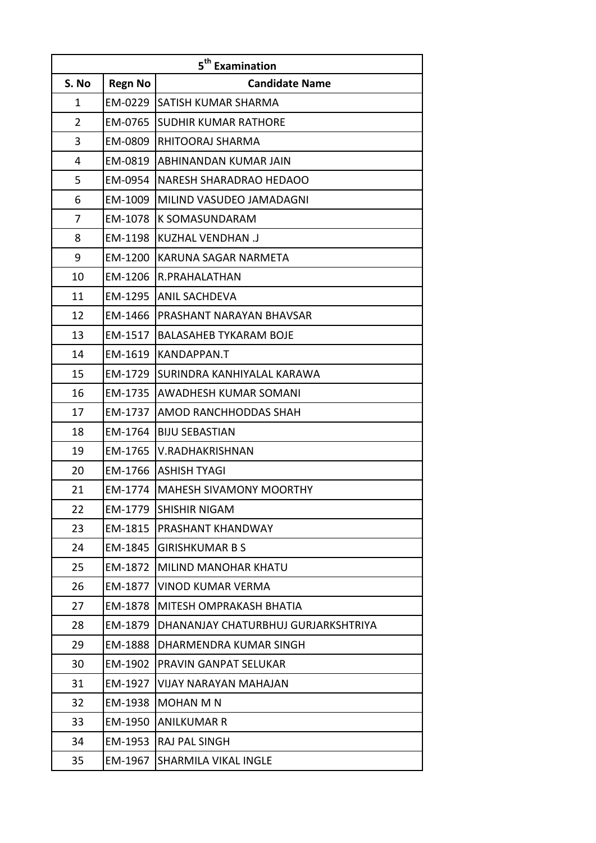|                |                | 5 <sup>th</sup> Examination         |
|----------------|----------------|-------------------------------------|
| S. No          | <b>Regn No</b> | <b>Candidate Name</b>               |
| 1              | EM-0229        | SATISH KUMAR SHARMA                 |
| $\overline{2}$ | EM-0765        | SUDHIR KUMAR RATHORE                |
| 3              | EM-0809        | RHITOORAJ SHARMA                    |
| 4              | EM-0819        | ABHINANDAN KUMAR JAIN               |
| 5              | EM-0954        | NARESH SHARADRAO HEDAOO             |
| 6              | EM-1009        | MILIND VASUDEO JAMADAGNI            |
| 7              | EM-1078        | K SOMASUNDARAM                      |
| 8              | EM-1198        | <b>KUZHAL VENDHAN .J</b>            |
| 9              | EM-1200        | KARUNA SAGAR NARMETA                |
| 10             | EM-1206        | R.PRAHALATHAN                       |
| 11             | EM-1295        | <b>ANIL SACHDEVA</b>                |
| 12             | EM-1466        | PRASHANT NARAYAN BHAVSAR            |
| 13             | EM-1517        | <b>BALASAHEB TYKARAM BOJE</b>       |
| 14             | EM-1619        | KANDAPPAN.T                         |
| 15             | EM-1729        | SURINDRA KANHIYALAL KARAWA          |
| 16             | EM-1735        | AWADHESH KUMAR SOMANI               |
| 17             | EM-1737        | AMOD RANCHHODDAS SHAH               |
| 18             | EM-1764        | <b>BIJU SEBASTIAN</b>               |
| 19             | EM-1765        | V.RADHAKRISHNAN                     |
| 20             | EM-1766        | <b>ASHISH TYAGI</b>                 |
| 21             | EM-1774        | <b>MAHESH SIVAMONY MOORTHY</b>      |
| 22             | EM-1779        | <b>SHISHIR NIGAM</b>                |
| 23             | EM-1815        | PRASHANT KHANDWAY                   |
| 24             | EM-1845        | <b>GIRISHKUMAR B S</b>              |
| 25             | EM-1872        | <b>MILIND MANOHAR KHATU</b>         |
| 26             | EM-1877        | <b>VINOD KUMAR VERMA</b>            |
| 27             | EM-1878        | MITESH OMPRAKASH BHATIA             |
| 28             | EM-1879        | DHANANJAY CHATURBHUJ GURJARKSHTRIYA |
| 29             | EM-1888        | DHARMENDRA KUMAR SINGH              |
| 30             | EM-1902        | PRAVIN GANPAT SELUKAR               |
| 31             | EM-1927        | <b>VIJAY NARAYAN MAHAJAN</b>        |
| 32             | EM-1938        | <b>MOHAN M N</b>                    |
| 33             | EM-1950        | <b>ANILKUMAR R</b>                  |
| 34             | EM-1953        | RAJ PAL SINGH                       |
| 35             | EM-1967        | <b>SHARMILA VIKAL INGLE</b>         |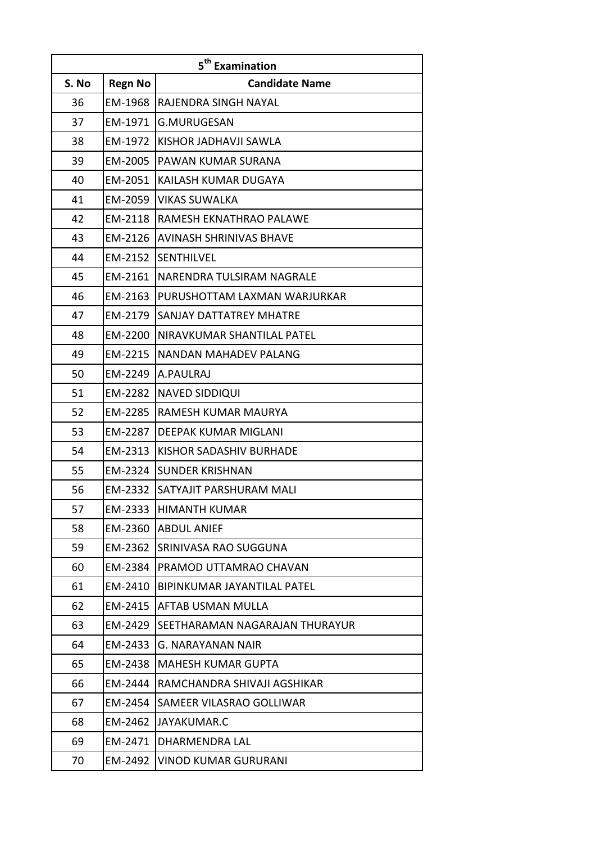|       |                | 5 <sup>th</sup> Examination    |
|-------|----------------|--------------------------------|
| S. No | <b>Regn No</b> | <b>Candidate Name</b>          |
| 36    | EM-1968        | RAJENDRA SINGH NAYAL           |
| 37    | EM-1971        | <b>G.MURUGESAN</b>             |
| 38    | EM-1972        | KISHOR JADHAVJI SAWLA          |
| 39    | EM-2005        | PAWAN KUMAR SURANA             |
| 40    | EM-2051        | KAILASH KUMAR DUGAYA           |
| 41    | EM-2059        | VIKAS SUWALKA                  |
| 42    | EM-2118        | RAMESH EKNATHRAO PALAWE        |
| 43    | EM-2126        | <b>AVINASH SHRINIVAS BHAVE</b> |
| 44    | EM-2152        | <b>SENTHILVEL</b>              |
| 45    | EM-2161        | NARENDRA TULSIRAM NAGRALE      |
| 46    | EM-2163        | PURUSHOTTAM LAXMAN WARJURKAR   |
| 47    | EM-2179        | SANJAY DATTATREY MHATRE        |
| 48    | EM-2200        | NIRAVKUMAR SHANTILAL PATEL     |
| 49    | EM-2215        | NANDAN MAHADEV PALANG          |
| 50    | EM-2249        | A.PAULRAJ                      |
| 51    | EM-2282        | <b>NAVED SIDDIQUI</b>          |
| 52    | EM-2285        | RAMESH KUMAR MAURYA            |
| 53    | EM-2287        | DEEPAK KUMAR MIGLANI           |
| 54    | EM-2313        | <b>KISHOR SADASHIV BURHADE</b> |
| 55    | EM-2324        | <b>SUNDER KRISHNAN</b>         |
| 56    | EM-2332        | SATYAJIT PARSHURAM MALI        |
| 57    | EM-2333        | <b>HIMANTH KUMAR</b>           |
| 58    | EM-2360        | <b>ABDUL ANIEF</b>             |
| 59    | EM-2362        | SRINIVASA RAO SUGGUNA          |
| 60    | EM-2384        | PRAMOD UTTAMRAO CHAVAN         |
| 61    | EM-2410        | BIPINKUMAR JAYANTILAL PATEL    |
| 62    | EM-2415        | AFTAB USMAN MULLA              |
| 63    | EM-2429        | SEETHARAMAN NAGARAJAN THURAYUR |
| 64    | EM-2433        | G. NARAYANAN NAIR              |
| 65    | EM-2438        | <b>MAHESH KUMAR GUPTA</b>      |
| 66    | EM-2444        | RAMCHANDRA SHIVAJI AGSHIKAR    |
| 67    | EM-2454        | SAMEER VILASRAO GOLLIWAR       |
| 68    | EM-2462        | JAYAKUMAR.C                    |
| 69    | EM-2471        | DHARMENDRA LAL                 |
| 70    | EM-2492        | <b>VINOD KUMAR GURURANI</b>    |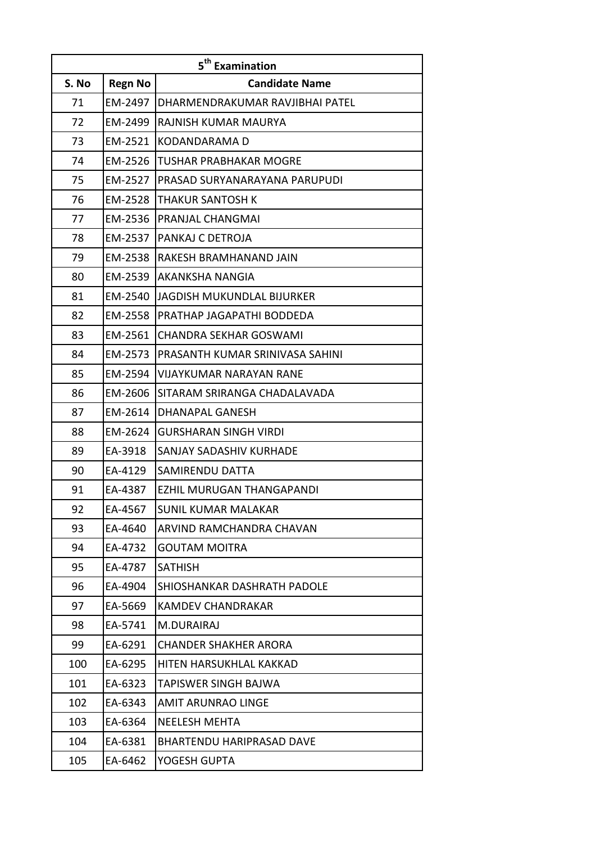|       |                | 5 <sup>th</sup> Examination      |
|-------|----------------|----------------------------------|
| S. No | <b>Regn No</b> | <b>Candidate Name</b>            |
| 71    | EM-2497        | DHARMENDRAKUMAR RAVJIBHAI PATEL  |
| 72    | EM-2499        | RAJNISH KUMAR MAURYA             |
| 73    | EM-2521        | KODANDARAMA D                    |
| 74    | EM-2526        | <b>TUSHAR PRABHAKAR MOGRE</b>    |
| 75    | EM-2527        | PRASAD SURYANARAYANA PARUPUDI    |
| 76    | EM-2528        | THAKUR SANTOSH K                 |
| 77    | EM-2536        | PRANJAL CHANGMAI                 |
| 78    | EM-2537        | PANKAJ C DETROJA                 |
| 79    | EM-2538        | RAKESH BRAMHANAND JAIN           |
| 80    | EM-2539        | AKANKSHA NANGIA                  |
| 81    | EM-2540        | JAGDISH MUKUNDLAL BIJURKER       |
| 82    | EM-2558        | PRATHAP JAGAPATHI BODDEDA        |
| 83    | EM-2561        | <b>CHANDRA SEKHAR GOSWAMI</b>    |
| 84    | EM-2573        | PRASANTH KUMAR SRINIVASA SAHINI  |
| 85    | EM-2594        | <b>VIJAYKUMAR NARAYAN RANE</b>   |
| 86    | EM-2606        | SITARAM SRIRANGA CHADALAVADA     |
| 87    | EM-2614        | DHANAPAL GANESH                  |
| 88    | EM-2624        | <b>GURSHARAN SINGH VIRDI</b>     |
| 89    | EA-3918        | <b>SANJAY SADASHIV KURHADE</b>   |
| 90    | EA-4129        | SAMIRENDU DATTA                  |
| 91    | EA-4387        | <b>EZHIL MURUGAN THANGAPANDI</b> |
| 92    | EA-4567        | <b>SUNIL KUMAR MALAKAR</b>       |
| 93    | EA-4640        | ARVIND RAMCHANDRA CHAVAN         |
| 94    | EA-4732        | <b>GOUTAM MOITRA</b>             |
| 95    | EA-4787        | <b>SATHISH</b>                   |
| 96    | EA-4904        | SHIOSHANKAR DASHRATH PADOLE      |
| 97    | EA-5669        | <b>KAMDEV CHANDRAKAR</b>         |
| 98    | EA-5741        | M.DURAIRAJ                       |
| 99    | EA-6291        | <b>CHANDER SHAKHER ARORA</b>     |
| 100   | EA-6295        | HITEN HARSUKHLAL KAKKAD          |
| 101   | EA-6323        | TAPISWER SINGH BAJWA             |
| 102   | EA-6343        | <b>AMIT ARUNRAO LINGE</b>        |
| 103   | EA-6364        | <b>NEELESH MEHTA</b>             |
| 104   | EA-6381        | <b>BHARTENDU HARIPRASAD DAVE</b> |
| 105   | EA-6462        | YOGESH GUPTA                     |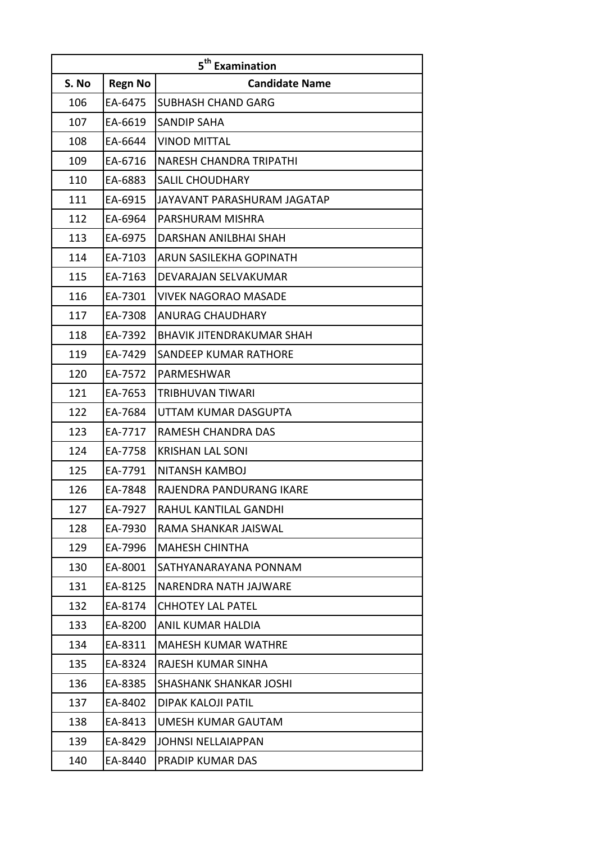|       |                | 5 <sup>th</sup> Examination      |
|-------|----------------|----------------------------------|
| S. No | <b>Regn No</b> | <b>Candidate Name</b>            |
| 106   | EA-6475        | <b>SUBHASH CHAND GARG</b>        |
| 107   | EA-6619        | <b>SANDIP SAHA</b>               |
| 108   | EA-6644        | <b>VINOD MITTAL</b>              |
| 109   | EA-6716        | <b>NARESH CHANDRA TRIPATHI</b>   |
| 110   | EA-6883        | <b>SALIL CHOUDHARY</b>           |
| 111   | EA-6915        | JAYAVANT PARASHURAM JAGATAP      |
| 112   | EA-6964        | PARSHURAM MISHRA                 |
| 113   | EA-6975        | DARSHAN ANILBHAI SHAH            |
| 114   | EA-7103        | ARUN SASILEKHA GOPINATH          |
| 115   | EA-7163        | DEVARAJAN SELVAKUMAR             |
| 116   | EA-7301        | <b>VIVEK NAGORAO MASADE</b>      |
| 117   | EA-7308        | <b>ANURAG CHAUDHARY</b>          |
| 118   | EA-7392        | <b>BHAVIK JITENDRAKUMAR SHAH</b> |
| 119   | EA-7429        | SANDEEP KUMAR RATHORE            |
| 120   | EA-7572        | PARMESHWAR                       |
| 121   | EA-7653        | TRIBHUVAN TIWARI                 |
| 122   | EA-7684        | UTTAM KUMAR DASGUPTA             |
| 123   | EA-7717        | RAMESH CHANDRA DAS               |
| 124   | EA-7758        | <b>KRISHAN LAL SONI</b>          |
| 125   | EA-7791        | NITANSH KAMBOJ                   |
| 126   | EA-7848        | RAJENDRA PANDURANG IKARE         |
| 127   | EA-7927        | <b>RAHUL KANTILAL GANDHI</b>     |
| 128   | EA-7930        | RAMA SHANKAR JAISWAL             |
| 129   | EA-7996        | <b>MAHESH CHINTHA</b>            |
| 130   | EA-8001        | SATHYANARAYANA PONNAM            |
| 131   | EA-8125        | NARENDRA NATH JAJWARE            |
| 132   | EA-8174        | <b>CHHOTEY LAL PATEL</b>         |
| 133   | EA-8200        | ANIL KUMAR HALDIA                |
| 134   | EA-8311        | <b>MAHESH KUMAR WATHRE</b>       |
| 135   | EA-8324        | RAJESH KUMAR SINHA               |
| 136   | EA-8385        | <b>SHASHANK SHANKAR JOSHI</b>    |
| 137   | EA-8402        | DIPAK KALOJI PATIL               |
| 138   | EA-8413        | UMESH KUMAR GAUTAM               |
| 139   | EA-8429        | <b>JOHNSI NELLAIAPPAN</b>        |
| 140   | EA-8440        | PRADIP KUMAR DAS                 |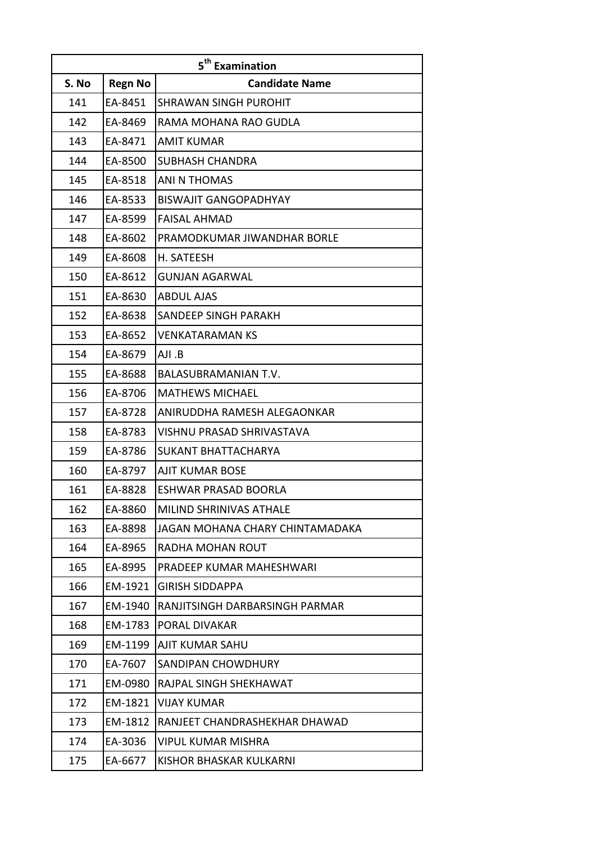|       |                | 5 <sup>th</sup> Examination          |
|-------|----------------|--------------------------------------|
| S. No | <b>Regn No</b> | <b>Candidate Name</b>                |
| 141   | EA-8451        | <b>SHRAWAN SINGH PUROHIT</b>         |
| 142   | EA-8469        | RAMA MOHANA RAO GUDLA                |
| 143   | EA-8471        | <b>AMIT KUMAR</b>                    |
| 144   | EA-8500        | SUBHASH CHANDRA                      |
| 145   | EA-8518        | ANI N THOMAS                         |
| 146   | EA-8533        | <b>BISWAJIT GANGOPADHYAY</b>         |
| 147   | EA-8599        | <b>FAISAL AHMAD</b>                  |
| 148   | EA-8602        | PRAMODKUMAR JIWANDHAR BORLE          |
| 149   | EA-8608        | H. SATEESH                           |
| 150   | EA-8612        | <b>GUNJAN AGARWAL</b>                |
| 151   | EA-8630        | <b>ABDUL AJAS</b>                    |
| 152   | EA-8638        | SANDEEP SINGH PARAKH                 |
| 153   | EA-8652        | <b>VENKATARAMAN KS</b>               |
| 154   | EA-8679        | AJI .B                               |
| 155   | EA-8688        | <b>BALASUBRAMANIAN T.V.</b>          |
| 156   | EA-8706        | <b>MATHEWS MICHAEL</b>               |
| 157   | EA-8728        | ANIRUDDHA RAMESH ALEGAONKAR          |
| 158   | EA-8783        | VISHNU PRASAD SHRIVASTAVA            |
| 159   | EA-8786        | <b>SUKANT BHATTACHARYA</b>           |
| 160   | EA-8797        | <b>AJIT KUMAR BOSE</b>               |
| 161   | EA-8828        | ESHWAR PRASAD BOORLA                 |
| 162   | EA-8860        | MILIND SHRINIVAS ATHALE              |
| 163   | EA-8898        | JAGAN MOHANA CHARY CHINTAMADAKA      |
| 164   | EA-8965        | RADHA MOHAN ROUT                     |
| 165   | EA-8995        | PRADEEP KUMAR MAHESHWARI             |
| 166   | EM-1921        | <b>GIRISH SIDDAPPA</b>               |
| 167   | EM-1940        | IRANJITSINGH DARBARSINGH PARMAR      |
| 168   | EM-1783        | <b>PORAL DIVAKAR</b>                 |
| 169   | EM-1199        | <b>AJIT KUMAR SAHU</b>               |
| 170   | EA-7607        | SANDIPAN CHOWDHURY                   |
| 171   | EM-0980        | <b>RAJPAL SINGH SHEKHAWAT</b>        |
| 172   | EM-1821        | <b>VIJAY KUMAR</b>                   |
| 173   | EM-1812        | <b>RANJEET CHANDRASHEKHAR DHAWAD</b> |
| 174   | EA-3036        | VIPUL KUMAR MISHRA                   |
| 175   | EA-6677        | KISHOR BHASKAR KULKARNI              |